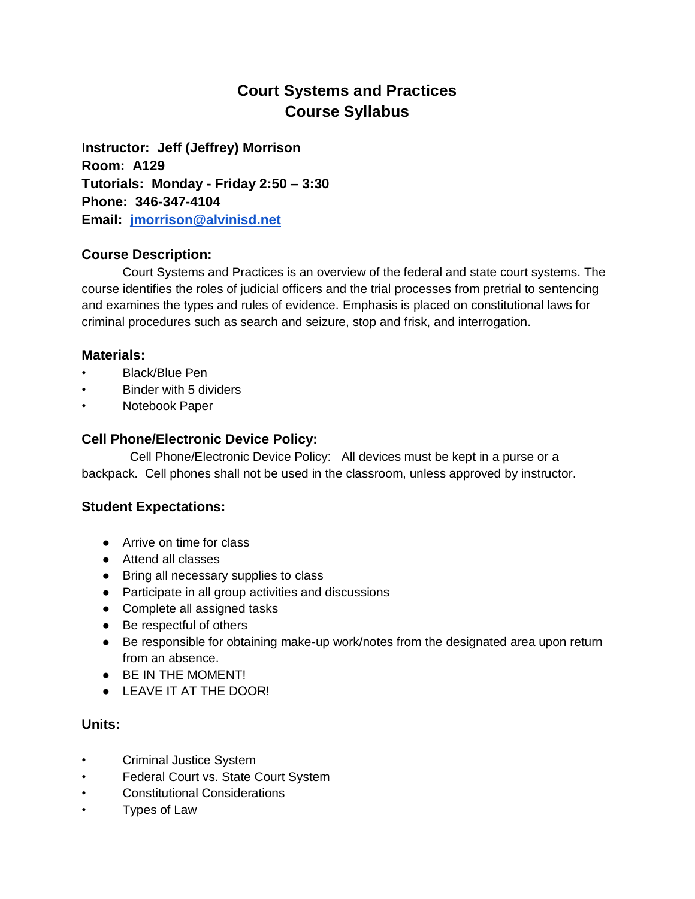# **Court Systems and Practices Course Syllabus**

I**nstructor: Jeff (Jeffrey) Morrison Room: A129 Tutorials: Monday - Friday 2:50 – 3:30 Phone: 346-347-4104 Email: [jmorrison@alvinisd.net](mailto:jmorrison@alvinisd.net)**

## **Course Description:**

Court Systems and Practices is an overview of the federal and state court systems. The course identifies the roles of judicial officers and the trial processes from pretrial to sentencing and examines the types and rules of evidence. Emphasis is placed on constitutional laws for criminal procedures such as search and seizure, stop and frisk, and interrogation.

## **Materials:**

- Black/Blue Pen
- Binder with 5 dividers
- Notebook Paper

## **Cell Phone/Electronic Device Policy:**

Cell Phone/Electronic Device Policy: All devices must be kept in a purse or a backpack. Cell phones shall not be used in the classroom, unless approved by instructor.

## **Student Expectations:**

- Arrive on time for class
- Attend all classes
- Bring all necessary supplies to class
- Participate in all group activities and discussions
- Complete all assigned tasks
- Be respectful of others
- Be responsible for obtaining make-up work/notes from the designated area upon return from an absence.
- BE IN THE MOMENT!
- LEAVE IT AT THE DOOR!

## **Units:**

- Criminal Justice System
- Federal Court vs. State Court System
- Constitutional Considerations
- Types of Law